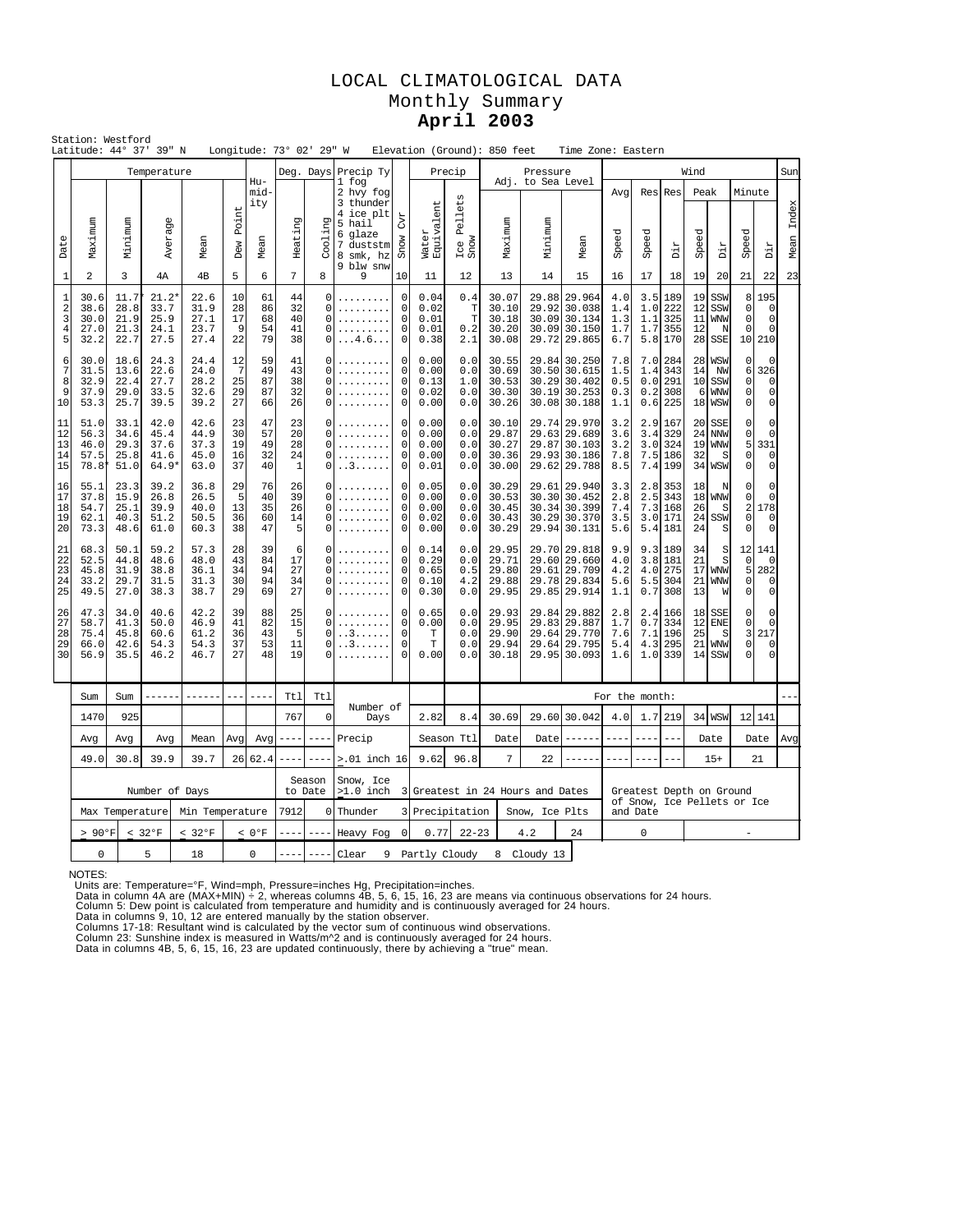# LOCAL CLIMATOLOGICAL DATA Monthly Summary **April 2003**

|                                                          | Station: Westford<br>Latitude: 44° 37' 39" N<br>Longitude: 73° 02' 29" W<br>Elevation (Ground): 850 feet<br>Time Zone: Eastern<br>Deg. Days Precip Ty<br>Temperature<br>Precip<br>Pressure<br>Wind<br>Adj. to Sea Level |                                      |                                         |                                      |                            |                                                                    |                            |                                            |                                                                                                          |                                                                   |                                      |                                 |                                           |                |                                                                              |                                 |                                 |                                             |                                                         |                                                             |                                                            |                                                                 |               |
|----------------------------------------------------------|-------------------------------------------------------------------------------------------------------------------------------------------------------------------------------------------------------------------------|--------------------------------------|-----------------------------------------|--------------------------------------|----------------------------|--------------------------------------------------------------------|----------------------------|--------------------------------------------|----------------------------------------------------------------------------------------------------------|-------------------------------------------------------------------|--------------------------------------|---------------------------------|-------------------------------------------|----------------|------------------------------------------------------------------------------|---------------------------------|---------------------------------|---------------------------------------------|---------------------------------------------------------|-------------------------------------------------------------|------------------------------------------------------------|-----------------------------------------------------------------|---------------|
|                                                          |                                                                                                                                                                                                                         |                                      |                                         |                                      |                            |                                                                    |                            |                                            |                                                                                                          |                                                                   |                                      |                                 |                                           |                |                                                                              |                                 |                                 |                                             |                                                         |                                                             |                                                            |                                                                 | Sun           |
| Date                                                     | Maximum                                                                                                                                                                                                                 | Minimum                              | Average                                 | Mean                                 | Point<br>Dew               | Hu-<br>mid-<br>ity<br>Mean                                         | Heating                    | Cooling                                    | 1 fog<br>2 hvy fog<br>3 thunder<br>4 ice plt<br>5 hail<br>6 glaze<br>7 duststm<br>8 smk, hz<br>9 blw snw | CVI<br>Snow                                                       | ent<br>Water<br>Equivale             | Pellets<br>Ice I<br>Snow        | Maximum                                   | Minimum        | Mean                                                                         | Avq<br>Speed                    | Speed                           | Res Res<br>Dir                              | Peak<br>Speed                                           | hir                                                         | Minute<br>Speed                                            | Dir                                                             | Index<br>Mean |
| $\mathbf{1}$                                             | 2                                                                                                                                                                                                                       | 3                                    | 4А                                      | 4B                                   | 5                          | 6                                                                  | $\overline{7}$             | 8                                          | 9                                                                                                        | 10                                                                | 11                                   | 12                              | 13                                        | 14             | 15                                                                           | 16                              | 17                              | 18                                          | 19                                                      | 20                                                          | 21                                                         | 22                                                              | 23            |
| 1<br>$\overline{\mathbf{c}}$<br>3<br>$\overline{4}$<br>5 | 30.6<br>38.6<br>30.0<br>27.0<br>32.2                                                                                                                                                                                    | 11.7<br>28.8<br>21.9<br>21.3<br>22.7 | $21.2*$<br>33.7<br>25.9<br>24.1<br>27.5 | 22.6<br>31.9<br>27.1<br>23.7<br>27.4 | 10<br>28<br>17<br>9<br>22  | 61<br>86<br>68<br>54<br>79                                         | 44<br>32<br>40<br>41<br>38 | 0<br>$\Omega$<br>0<br>0<br>0               | .<br>.<br>4.6                                                                                            | $\mathsf{O}\xspace$<br>$\circ$<br>0<br>$\mathbf 0$<br>$\mathbf 0$ | 0.04<br>0.02<br>0.01<br>0.01<br>0.38 | 0.4<br>T<br>T<br>0.2<br>2.1     | 30.07<br>30.10<br>30.18<br>30.20<br>30.08 | 29.88<br>29.92 | 29.964<br>30.038<br>30.09 30.134<br>30.09 30.150<br>29.72 29.865             | 4.0<br>1.4<br>1.3<br>1.7<br>6.7 | 3.5<br>1.0<br>1.1<br>1.7        | 189<br>222<br>325<br>355<br>5.8 170         | 19<br>12<br>11<br>12<br>28                              | SSW<br>SSW<br><b>WNW</b><br>$\mathbb N$<br>SSE              | 8<br>$\circ$<br>$\mathsf 0$<br>$\Omega$<br>10 <sub>1</sub> | 195<br>$\mathbf 0$<br>$\mathbf{0}$<br>$\Omega$<br>210           |               |
| 6<br>7<br>8<br>9<br>10                                   | 30.0<br>31.5<br>32.9<br>37.9<br>53.3                                                                                                                                                                                    | 18.6<br>13.6<br>22.4<br>29.0<br>25.7 | 24.3<br>22.6<br>27.7<br>33.5<br>39.5    | 24.4<br>24.0<br>28.2<br>32.6<br>39.2 | 12<br>7<br>25<br>29<br>27  | 59<br>49<br>87<br>87<br>66                                         | 41<br>43<br>38<br>32<br>26 | 0<br>$\Omega$<br>0<br>$\Omega$<br>0        | .<br>.<br>.                                                                                              | $\mathbf 0$<br>$\mathbf 0$<br>0<br>$\circ$<br>0                   | 0.00<br>0.00<br>0.13<br>0.02<br>0.00 | 0.0<br>0.0<br>1.0<br>0.0<br>0.0 | 30.55<br>30.69<br>30.53<br>30.30<br>30.26 |                | 29.84 30.250<br>30.50 30.615<br>30.29 30.402<br>30.19 30.253<br>30.08 30.188 | 7.8<br>1.5<br>0.5<br>0.3<br>1.1 | 7.0<br>1.4<br>0.6               | 284<br>343<br>$0.0$ 291<br>$0.2$ 308<br>225 | 28<br>14<br>10<br>6                                     | WSW<br>NW<br>SSW<br><b>WNW</b><br>18 WSW                    | 0<br>6<br>0<br>0<br>$\mathbf{0}$                           | $\mathbf 0$<br>326<br>$\mathbf 0$<br>$\mathbf 0$<br>0           |               |
| 11<br>12<br>13<br>14<br>15                               | 51.0<br>56.3<br>46.0<br>57.5<br>78.8*                                                                                                                                                                                   | 33.1<br>34.6<br>29.3<br>25.8<br>51.0 | 42.0<br>45.4<br>37.6<br>41.6<br>64.9*   | 42.6<br>44.9<br>37.3<br>45.0<br>63.0 | 23<br>30<br>19<br>16<br>37 | 47<br>23<br>57<br>20<br>28<br>49<br>32<br>24<br>$\mathbf{1}$<br>40 |                            | O<br>$\Omega$<br>0<br>0<br>0               | . . 3                                                                                                    | 0<br>$\mathbf 0$<br>$\mathsf 0$<br>0<br>0                         | 0.00<br>0.00<br>0.00<br>0.00<br>0.01 | 0.0<br>0.0<br>0.0<br>0.0<br>0.0 | 30.10<br>29.87<br>30.27<br>30.36<br>30.00 |                | 29.74 29.970<br>29.63 29.689<br>29.87 30.103<br>29.93 30.186<br>29.62 29.788 | 3.2<br>3.6<br>3.2<br>7.8<br>8.5 | 2.9<br>3.4<br>3.0<br>7.5        | 167<br>329<br>324<br>186<br>7.4 199         | 20<br>24<br>19<br>32                                    | <b>SSE</b><br>NNW<br><b>WNW</b><br>S<br>34 WSW              | 0<br>$\circ$<br>5<br>$\mathsf 0$<br>$\circ$                | 0<br>$\Omega$<br>331<br>0<br>$\mathsf{O}\xspace$                |               |
| 16<br>17<br>18<br>19<br>20                               | 55.1<br>37.8<br>54.7<br>62.1<br>73.3                                                                                                                                                                                    | 23.3<br>15.9<br>25.1<br>40.3<br>48.6 | 39.2<br>26.8<br>39.9<br>51.2<br>61.0    | 36.8<br>26.5<br>40.0<br>50.5<br>60.3 | 29<br>-5<br>13<br>36<br>38 | 76<br>40<br>35<br>60<br>47                                         | 26<br>39<br>26<br>14<br>5  | 0<br>$\Omega$<br>$\cap$<br>0<br>0          |                                                                                                          | 0<br>$\mathbf 0$<br>$\Omega$<br>0<br>$\circ$                      | 0.05<br>0.00<br>0.00<br>0.02<br>0.00 | 0.0<br>0.0<br>0.0<br>0.0<br>0.0 | 30.29<br>30.53<br>30.45<br>30.43<br>30.29 | 29.61<br>30.30 | 29.940<br>30.452<br>30.34 30.399<br>30.29 30.370<br>29.94 30.131             | 3.3<br>2.8<br>7.4<br>3.5<br>5.6 | 2.8<br>2.5<br>7.3               | 353<br>343<br>168<br>3.0 171<br>5.4 181     | 18<br>18<br>26<br>24<br>24                              | N<br><b>WNW</b><br>S<br>SSW<br>S                            | 0<br>$\circ$<br>$\overline{c}$<br>$\circ$<br>$\circ$       | $\mathbf 0$<br>$\mathbf 0$<br>178<br>$\mathbf 0$<br>$\mathbf 0$ |               |
| 21<br>22<br>23<br>24<br>25                               | 68.3<br>52.5<br>45.8<br>33.2<br>49.5                                                                                                                                                                                    | 50.1<br>44.8<br>31.9<br>29.7<br>27.0 | 59.2<br>48.6<br>38.8<br>31.5<br>38.3    | 57.3<br>48.0<br>36.1<br>31.3<br>38.7 | 28<br>43<br>34<br>30<br>29 | 39<br>84<br>94<br>94<br>69                                         | 6<br>17<br>27<br>34<br>27  | 0<br>$\Omega$<br>$\Omega$<br>0<br>$\Omega$ |                                                                                                          | 0<br>0<br>$\mathbf 0$<br>0<br>0                                   | 0.14<br>0.29<br>0.65<br>0.10<br>0.30 | 0.0<br>0.0<br>0.5<br>4.2<br>0.0 | 29.95<br>29.71<br>29.80<br>29.88<br>29.95 | 29.60<br>29.61 | 29.70 29.818<br>29,660<br>29.709<br>29.78 29.834<br>29.85 29.914             | 9.9<br>4.0<br>4.2<br>5.6<br>1.1 | 9.3<br>3.8<br>4.0<br>5.5<br>0.7 | 189<br>181<br>275<br>304<br>308             | 34<br>21<br>17<br>21<br>13                              | S<br>S<br><b>WNW</b><br><b>WNW</b><br>W                     | 12<br>$\mathbf 0$<br>5<br>$\mathbf 0$<br>0                 | 141<br>$\cap$<br>282<br>$\mathbf 0$<br>$\mathsf{O}\xspace$      |               |
| 26<br>27<br>28<br>29<br>30                               | 47.3<br>58.7<br>75.4<br>66.0<br>56.9                                                                                                                                                                                    | 34.0<br>41.3<br>45.8<br>42.6<br>35.5 | 40.6<br>50.0<br>60.6<br>54.3<br>46.2    | 42.2<br>46.9<br>61.2<br>54.3<br>46.7 | 39<br>41<br>36<br>37<br>27 | 88<br>82<br>43<br>53<br>48                                         | 25<br>15<br>.5<br>11<br>19 | 0<br>0<br>$\Omega$<br>$\Omega$<br>0        | .<br>. . 3<br>. . 3                                                                                      | 0<br>$\mathsf 0$<br>$\Omega$<br>$\mathbf 0$<br>0                  | 0.65<br>0.00<br>Т<br>T<br>0.00       | 0.0<br>0.0<br>0.0<br>0.0<br>0.0 | 29.93<br>29.95<br>29.90<br>29.94<br>30.18 | 29.83          | 29.84 29.882<br>29.887<br>29.64 29.770<br>29.64 29.795<br>29.95 30.093       | 2.8<br>1.7<br>7.6<br>5.4<br>1.6 | 2.4<br>0.7<br>7.1<br>4.3        | 166<br>334<br>196<br>295<br>1.0 339         | 12<br>25<br>21                                          | 18 SSE<br><b>ENE</b><br>$\mathbf S$<br><b>WNW</b><br>14 SSW | $\mathbf 0$<br>$\mathbf 0$<br>3<br>$\Omega$<br>$\circ$     | $\mathbf 0$<br>$\mathbf 0$<br>217<br>$\mathbf 0$<br>$\mathbf 0$ |               |
|                                                          | Sum                                                                                                                                                                                                                     | Sum                                  | ------                                  | ------                               | $- - -$                    |                                                                    | Tt1                        | Tt1                                        |                                                                                                          |                                                                   |                                      |                                 |                                           |                |                                                                              | For the month:                  |                                 |                                             |                                                         |                                                             |                                                            |                                                                 |               |
|                                                          | 1470                                                                                                                                                                                                                    | 925                                  |                                         |                                      |                            |                                                                    | 767                        | 0                                          | Number of<br>Days                                                                                        |                                                                   | 2.82                                 | 8.4                             | 30.69                                     | 29.60          | 30.042                                                                       | 4.0                             | 1.7                             | 219                                         |                                                         | 34 WSW                                                      | 12 141                                                     |                                                                 |               |
|                                                          | Avg                                                                                                                                                                                                                     | Avg                                  | Avg                                     | Mean                                 | Avg                        |                                                                    |                            | Precip                                     |                                                                                                          |                                                                   | Season Ttl                           | Date                            | Date                                      |                |                                                                              |                                 |                                 |                                             | Date                                                    | Date                                                        |                                                            | Avg                                                             |               |
|                                                          | 49.0                                                                                                                                                                                                                    | 30.8                                 | 39.9                                    | 39.7                                 |                            | 26 62.4                                                            | ----                       | ----                                       | $> 01$ inch 16                                                                                           |                                                                   | 9.62                                 | 96.8                            | 7                                         | 22             |                                                                              |                                 |                                 |                                             |                                                         | $15+$                                                       | 21                                                         |                                                                 |               |
|                                                          |                                                                                                                                                                                                                         |                                      | Number of Days                          |                                      |                            |                                                                    | to Date                    | Season                                     | Snow, Ice<br>$>1.0$ inch                                                                                 |                                                                   |                                      |                                 | 3 Greatest in 24 Hours and Dates          |                |                                                                              |                                 |                                 |                                             | Greatest Depth on Ground<br>of Snow, Ice Pellets or Ice |                                                             |                                                            |                                                                 |               |
|                                                          | Max Temperature<br>Min Temperature                                                                                                                                                                                      |                                      |                                         |                                      |                            |                                                                    | 7912                       | 0                                          | Thunder                                                                                                  |                                                                   | 3 Precipitation                      |                                 |                                           | Snow, Ice Plts |                                                                              |                                 | and Date                        |                                             |                                                         |                                                             |                                                            |                                                                 |               |
|                                                          | $> 90^{\circ}F$<br>$< 32^{\circ}F$<br>$< 32^{\circ}F$<br>$< 0$ °F                                                                                                                                                       |                                      |                                         |                                      |                            |                                                                    | ----                       | ----                                       | Heavy Fog                                                                                                | 0                                                                 | 0.77                                 | $22 - 23$                       |                                           | 4.2            | 24                                                                           |                                 | $\mathbf 0$                     |                                             |                                                         |                                                             |                                                            |                                                                 |               |
|                                                          | 5<br>0<br>18<br>0<br>9<br>Partly Cloudy<br>8<br>Cloudy 13<br>Clear<br>----<br>$- - -$                                                                                                                                   |                                      |                                         |                                      |                            |                                                                    |                            |                                            |                                                                                                          |                                                                   |                                      |                                 |                                           |                |                                                                              |                                 |                                 |                                             |                                                         |                                                             |                                                            |                                                                 |               |

NOTES:

Units are: Temperature=°F, Wind=mph, Pressure=inches Hg, Precipitation=inches.<br>Data in column 4A are (MAX+MIN) ÷ 2, whereas columns 4B, 5, 6, 15, 16, 23 are means via continuous observations for 24 hours.<br>Data in column 5.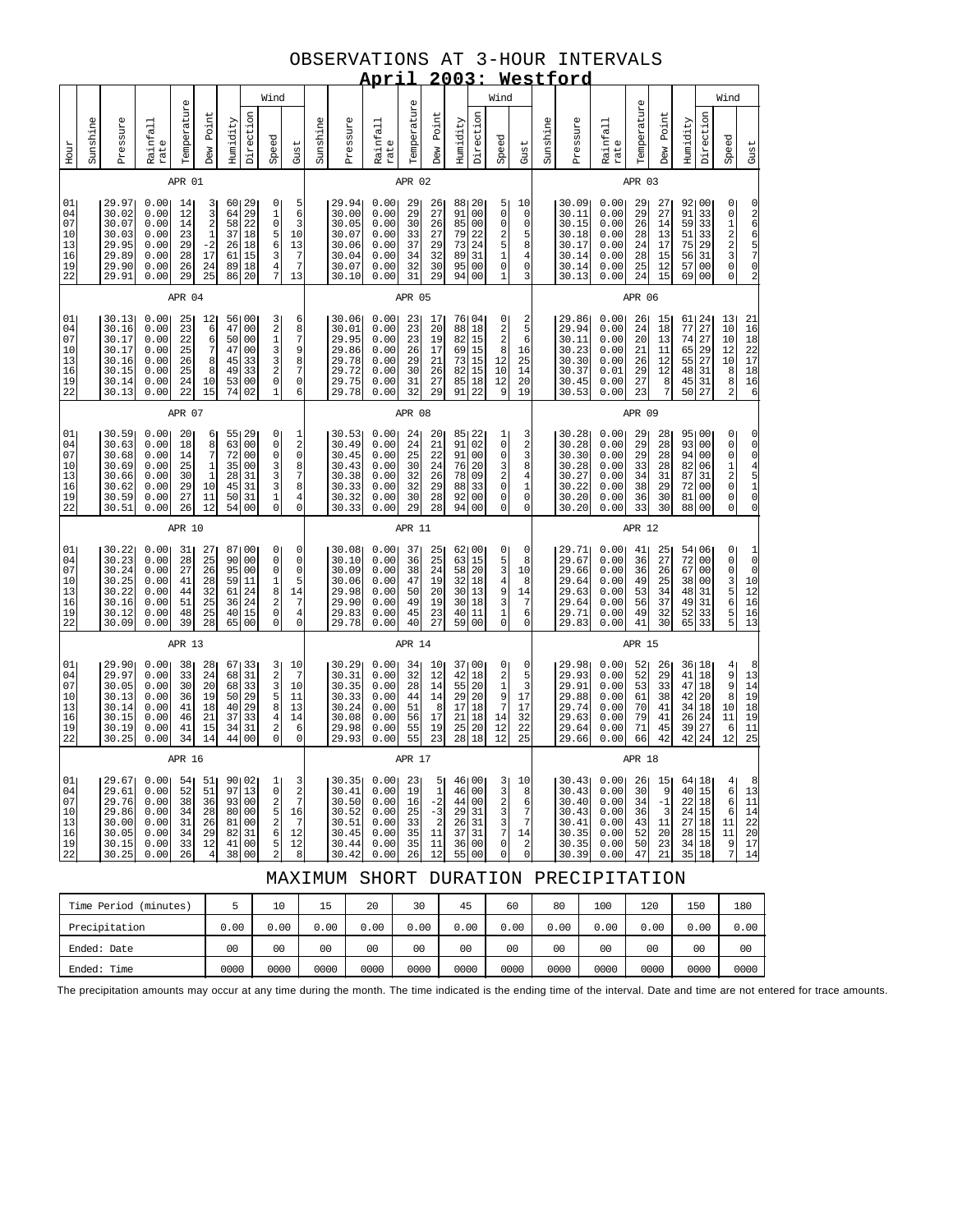### OBSERVATIONS AT 3-HOUR INTERVALS **April 2003: Westford**

| Hour                                         | Sunshine                                                                                                                                                                                                                                                                                                                                                                                                                                                                                                       | Pressure                                                             | Rainfall<br>rate                                             | Temperature                                  | Point<br>Dew                                                                         | Humidity                                      | Direction                                                                                       | Wind<br>Speed                                                                                       | Gust                                                                                                  | Sunshine | Pressure                                                             | Rainfall<br>rate                                             | Temperature                                  | Point<br>Dew                                                                         | Humidity                                                                            | Direction                                                                  | Wind<br>Speed                                                                                                               | Gust                                                                                     | Sunshine | Pressure                                                             | Rainfall<br>rate                                             | Temperature                                  | Dew Point                                                          | Humidity                                                     | Direction                                                                        | Wind<br>Speed                                                                             | Gust                                                                                                      |
|----------------------------------------------|----------------------------------------------------------------------------------------------------------------------------------------------------------------------------------------------------------------------------------------------------------------------------------------------------------------------------------------------------------------------------------------------------------------------------------------------------------------------------------------------------------------|----------------------------------------------------------------------|--------------------------------------------------------------|----------------------------------------------|--------------------------------------------------------------------------------------|-----------------------------------------------|-------------------------------------------------------------------------------------------------|-----------------------------------------------------------------------------------------------------|-------------------------------------------------------------------------------------------------------|----------|----------------------------------------------------------------------|--------------------------------------------------------------|----------------------------------------------|--------------------------------------------------------------------------------------|-------------------------------------------------------------------------------------|----------------------------------------------------------------------------|-----------------------------------------------------------------------------------------------------------------------------|------------------------------------------------------------------------------------------|----------|----------------------------------------------------------------------|--------------------------------------------------------------|----------------------------------------------|--------------------------------------------------------------------|--------------------------------------------------------------|----------------------------------------------------------------------------------|-------------------------------------------------------------------------------------------|-----------------------------------------------------------------------------------------------------------|
|                                              |                                                                                                                                                                                                                                                                                                                                                                                                                                                                                                                |                                                                      |                                                              | APR 01                                       |                                                                                      |                                               |                                                                                                 |                                                                                                     |                                                                                                       |          |                                                                      |                                                              | APR 02                                       |                                                                                      |                                                                                     |                                                                            |                                                                                                                             |                                                                                          |          |                                                                      |                                                              | APR 03                                       |                                                                    |                                                              |                                                                                  |                                                                                           |                                                                                                           |
| 01<br>04<br>07<br>10<br>13<br>16<br>19<br>22 |                                                                                                                                                                                                                                                                                                                                                                                                                                                                                                                | 29.97<br>30.02<br>30.07<br>30.03<br>29.95<br>29.89<br>29.90<br>29.91 | 0.00<br>0.00<br>0.00<br>0.00<br>0.00<br>0.00<br>0.00<br>0.00 | 14<br>12<br>14<br>23<br>29<br>28<br>26<br>29 | 3<br>3<br>$\,2$<br>$\mathbf{1}$<br>$-2$<br>17<br>24<br>25                            | 64<br>58<br>37<br>26<br>61<br>89<br>86        | 60129<br>29<br>22<br>18<br>18<br>15<br>18<br>20                                                 | 0<br>$\mathbf 1$<br>$\circ$<br>$\frac{5}{6}$<br>3<br>$\frac{4}{7}$                                  | 5<br>6<br>$\overline{\mathbf{3}}$<br>10<br>13<br>$\begin{array}{c} 7 \\ 7 \end{array}$<br>13          |          | 29.94<br>30.00<br>30.05<br>30.07<br>30.06<br>30.04<br>30.07<br>30.10 | 0.00<br>0.00<br>0.00<br>0.00<br>0.00<br>0.00<br>0.00<br>0.00 | 29<br>29<br>30<br>33<br>37<br>34<br>32<br>31 | 26<br>27<br>26<br>27<br>29<br>32<br>30<br>29                                         | 88 20<br>91<br>85<br>79<br>73<br>89<br>95<br>94                                     | 0 <sub>0</sub><br>0 <sub>0</sub><br>22<br>24<br>31<br>0 <sub>0</sub><br>00 | 5<br>$\mathsf{O}\xspace$<br>$\mathsf{O}\xspace$<br>$\begin{array}{c} 2 \\ 5 \\ 1 \end{array}$<br>$\mathsf 0$<br>$\mathbf 1$ | 10<br>$\mathsf{O}\xspace$<br>$\mathsf 0$<br>5<br>8<br>$\bf 4$<br>$\mathsf 0$<br>3        |          | 30.09<br>30.11<br>30.15<br>30.18<br>30.17<br>30.14<br>30.14<br>30.13 | 0.00<br>0.00<br>0.00<br>0.00<br>0.00<br>0.00<br>0.00<br>0.00 | 29<br>29<br>26<br>28<br>24<br>28<br>25<br>24 | 27<br>27<br>14<br>13<br>17<br>15<br>12<br>15                       | 92 00<br>91<br>59<br>51<br>75<br>56<br>57<br>69              | 33<br>33<br>33<br>29<br>31<br>0 <sub>0</sub><br>00                               | 0<br>012230<br>$\mathbf{0}$                                                               | 02665702                                                                                                  |
|                                              |                                                                                                                                                                                                                                                                                                                                                                                                                                                                                                                |                                                                      |                                                              | APR 04                                       |                                                                                      |                                               |                                                                                                 |                                                                                                     |                                                                                                       |          |                                                                      |                                                              | APR 05                                       |                                                                                      |                                                                                     |                                                                            |                                                                                                                             |                                                                                          |          |                                                                      |                                                              | APR 06                                       |                                                                    |                                                              |                                                                                  |                                                                                           |                                                                                                           |
| 01<br>04<br>07<br>10<br>13<br>16<br>19<br>22 |                                                                                                                                                                                                                                                                                                                                                                                                                                                                                                                | 30.13<br>30.16<br>30.17<br>30.17<br>30.16<br>30.15<br>30.14<br>30.13 | 0.00<br>0.00<br>0.00<br>0.00<br>0.00<br>0.00<br>0.00<br>0.00 | 25<br>23<br>22<br>25<br>26<br>25<br>24<br>22 | 12<br>$\epsilon$<br>$\epsilon$<br>$\boldsymbol{7}$<br>$\,8\,$<br>$\,8\,$<br>10<br>15 | 561<br>47<br>50<br>47<br>45<br>49<br>53<br>74 | 00<br>0 <sub>0</sub><br>0 <sub>0</sub><br>00<br>33<br>33<br>00<br>02                            | 3<br>2<br>1<br>3<br>3<br>2<br>0<br>$\mathbf{1}$                                                     | 6<br>$\frac{8}{7}$<br>9<br>$\begin{array}{c} 8 \\ 7 \end{array}$<br>$\mathsf 0$<br>6                  |          | 30.06<br>30.01<br>29.95<br>29.86<br>29.78<br>29.72<br>29.75<br>29.78 | 0.00<br>0.00<br>0.00<br>0.00<br>0.00<br>0.00<br>0.00<br>0.00 | 23<br>23<br>23<br>26<br>29<br>30<br>31<br>32 | 17<br>20<br>19<br>17<br>21<br>26<br>27<br>29                                         | 76 04<br>88<br>18<br>82<br>15<br>15<br>69<br>73<br>15<br>82<br>15<br>18<br>85<br>91 | 22                                                                         | 0<br>$\frac{2}{2}$<br>$\,8\,$<br>12<br>10<br>12<br>9                                                                        | 2<br>5<br>6<br>16<br>25<br>14<br>20<br>19                                                |          | 29.86<br>29.94<br>30.11<br>30.23<br>30.30<br>30.37<br>30.45<br>30.53 | 0.00<br>0.00<br>0.00<br>0.00<br>0.00<br>0.01<br>0.00<br>0.00 | 26<br>24<br>20<br>21<br>26<br>29<br>27<br>23 | 15<br>$18\,$<br>13<br>11<br>12<br>12<br>8<br>7                     | 61<br>77<br>74<br>65<br>55<br>48<br>45<br>50                 | 24<br>27<br>27<br>29<br>27<br>31<br>31<br>27                                     | 13<br>10<br>$10$<br>12<br>$10$<br>$\begin{array}{c} 8 \\ 8 \end{array}$<br>$\overline{a}$ | 21<br>16<br>$18\,$<br>$\frac{22}{17}$<br>$18$<br>$\begin{array}{c}\n16 \\ 6\n\end{array}$                 |
|                                              |                                                                                                                                                                                                                                                                                                                                                                                                                                                                                                                |                                                                      |                                                              | APR 07                                       |                                                                                      |                                               |                                                                                                 |                                                                                                     |                                                                                                       |          |                                                                      |                                                              | APR 08                                       |                                                                                      |                                                                                     |                                                                            |                                                                                                                             |                                                                                          |          |                                                                      |                                                              | APR 09                                       |                                                                    |                                                              |                                                                                  |                                                                                           |                                                                                                           |
| 01<br>04<br>07<br>10<br>13<br>16<br>19<br>22 | 30.59<br>0.00<br>20<br>6<br>55129<br>0<br>30.63<br>0.00<br>8<br>0 <sub>0</sub><br>$\mathsf{O}\xspace$<br>18<br>63<br>$\overline{7}$<br>$\mathsf{O}\xspace$<br>72<br>00<br>30.68<br>0.00<br>14<br>$\begin{array}{c} 3 \\ 3 \\ 3 \\ 1 \end{array}$<br>$\,1\,$<br>30.69<br>0.00<br>35<br>0 <sub>0</sub><br>25<br>$\,1\,$<br>30.66<br>0.00<br>28<br>31<br>30<br>10<br>45<br>31<br>30.62<br>0.00<br>29<br>0.00<br>27<br>11<br>50<br>31<br>30.59<br>$\mathbf 0$<br>0.00<br>26<br>12<br>54<br>0 <sub>0</sub><br>30.51 |                                                                      |                                                              |                                              |                                                                                      |                                               |                                                                                                 |                                                                                                     | 1<br>$\frac{2}{0}$<br>$\begin{array}{c} 8 \\ 7 \end{array}$<br>8<br>$\overline{4}$<br>$\mathbf 0$     |          | 30.53<br>30.49<br>30.45<br>30.43<br>30.38<br>30.33<br>30.32<br>30.33 | 0.00<br>0.00<br>0.00<br>0.00<br>0.00<br>0.00<br>0.00<br>0.00 | 24<br>24<br>25<br>30<br>32<br>32<br>30<br>29 | 20<br>21<br>22<br>24<br>26<br>29<br>28<br>28                                         | 85 22<br>91<br>91<br>76<br>78<br>88<br>92<br>94                                     | 02<br>0 <sub>0</sub><br>20<br>09<br>33<br>00<br>0 <sub>0</sub>             | 1<br>$\mathsf 0$<br>$\mathsf{O}\xspace$<br>$\begin{array}{c} 3 \\ 2 \\ 0 \end{array}$<br>$\mathsf{O}\xspace$<br>$\mathsf 0$ | 3<br>$\frac{2}{3}$<br>8<br>$\bf 4$<br>$\mathbf 1$<br>$\mathsf{O}\xspace$<br>$\mathsf 0$  |          | 30.28<br>30.28<br>30.30<br>30.28<br>30.27<br>30.22<br>30.20<br>30.20 | 0.00<br>0.00<br>0.00<br>0.00<br>0.00<br>0.00<br>0.00<br>0.00 | 29<br>29<br>29<br>33<br>34<br>38<br>36<br>33 | 28<br>28<br>28<br>28<br>31<br>29<br>30<br>30                       | 951<br>93<br>94<br>82<br>87<br>72<br>81<br>88                | 00<br>00<br>00<br>06<br>31<br>0 <sub>0</sub><br>0 <sub>0</sub><br>0 <sub>0</sub> | 0001200<br>$\mathbf 0$                                                                    | 00045100                                                                                                  |
|                                              | APR 10                                                                                                                                                                                                                                                                                                                                                                                                                                                                                                         |                                                                      |                                                              |                                              |                                                                                      |                                               |                                                                                                 |                                                                                                     |                                                                                                       |          |                                                                      |                                                              | APR 11                                       |                                                                                      |                                                                                     |                                                                            |                                                                                                                             |                                                                                          |          |                                                                      |                                                              | APR 12                                       |                                                                    |                                                              |                                                                                  |                                                                                           |                                                                                                           |
| 01<br>04<br>07<br>10<br>13<br>16<br>19<br>22 |                                                                                                                                                                                                                                                                                                                                                                                                                                                                                                                | 30.22<br>30.23<br>30.24<br>30.25<br>30.22<br>30.16<br>30.12<br>30.09 | 0.00<br>0.00<br>0.00<br>0.00<br>0.00<br>0.00<br>0.00<br>0.00 | 31<br>28<br>27<br>41<br>44<br>51<br>48<br>39 | 27<br>25<br>26<br>28<br>32<br>25<br>25<br>28                                         | 871<br>90<br>95<br>59<br>61<br>36<br>40<br>65 | 0 <sub>0</sub><br>0 <sub>0</sub><br>0 <sub>0</sub><br>11<br>24<br>24<br>15<br>0 <sub>0</sub>    | $\mathsf 0$<br>$\mathbb O$<br>$\mathbf 0$<br>$\mathbf 1$<br>$\frac{8}{2}$<br>$\circ$<br>$\mathbf 0$ | 0<br>$\mathsf 0$<br>0<br>5<br>$\begin{array}{c} 14 \\ 7 \end{array}$<br>$\overline{4}$<br>$\mathbf 0$ |          | 30.08<br>30.10<br>30.09<br>30.06<br>29.98<br>29.90<br>29.83<br>29.78 | 0.00<br>0.00<br>0.00<br>0.00<br>0.00<br>0.00<br>0.00<br>0.00 | 37<br>36<br>38<br>47<br>50<br>49<br>45<br>40 | 25<br>25<br>24<br>19<br>20<br>19<br>23<br>27                                         | 62100<br>63<br>58<br>32<br>30<br>13<br>30<br>40<br>11<br>59                         | 15<br>20<br>18<br>18<br>0 <sub>0</sub>                                     | 0<br>$\begin{array}{c} 5 \\ 3 \\ 4 \end{array}$<br>$\begin{array}{c} 9 \\ 3 \\ 1 \end{array}$<br>$\mathbf 0$                | $\mathsf{O}\xspace$<br>8<br>10<br>8<br>14<br>$\overline{7}$<br>6<br>0                    |          | 29.71<br>29.67<br>29.66<br>29.64<br>29.63<br>29.64<br>29.71<br>29.83 | 0.00<br>0.00<br>0.00<br>0.00<br>0.00<br>0.00<br>0.00<br>0.00 | 41<br>36<br>36<br>49<br>53<br>56<br>49<br>41 | 25<br>27<br>26<br>25<br>34<br>37<br>32<br>30                       | 54106<br>$\overline{72}$<br>67<br>38<br>48<br>49<br>52<br>65 | 0 <sub>0</sub><br>00<br>00<br>31<br>31<br>33<br>33                               | 000356555                                                                                 | $\begin{matrix} 1 \\ 0 \\ 0 \end{matrix}$<br>$10$<br>12<br>16<br>16<br>13                                 |
|                                              |                                                                                                                                                                                                                                                                                                                                                                                                                                                                                                                | APR 13<br>671                                                        |                                                              |                                              |                                                                                      |                                               |                                                                                                 |                                                                                                     |                                                                                                       |          |                                                                      |                                                              | APR 14                                       |                                                                                      |                                                                                     |                                                                            |                                                                                                                             |                                                                                          |          |                                                                      |                                                              | APR 15                                       |                                                                    |                                                              |                                                                                  |                                                                                           |                                                                                                           |
| 01<br>04<br>07<br>10<br>13<br>16<br>19<br>22 |                                                                                                                                                                                                                                                                                                                                                                                                                                                                                                                | 29.90<br>29.97<br>30.05<br>30.13<br>30.14<br>30.15<br>30.19<br>30.25 | 0.00<br>0.00<br>0.00<br>0.00<br>0.00<br>0.00<br>0.00<br>0.00 | 38<br>33<br>30<br>36<br>41<br>46<br>41<br>34 | 28<br>24<br>20<br>19<br>18<br>21<br>15<br>14                                         | 68<br>68<br>50<br>40<br>37<br>34<br>44        | 33<br>31<br>33<br>29<br>29<br>33<br>31<br>0 <sub>0</sub>                                        | $\frac{3}{2}$<br>$\begin{array}{c} 3 \\ 5 \\ 8 \end{array}$<br>$\overline{4}$<br>$\frac{2}{0}$      | 10<br>7<br>10<br>11<br>13<br>14<br>6<br>$\overline{0}$                                                |          | 30.29<br>30.31<br>30.35<br>30.33<br>30.24<br>30.08<br>29.98<br>29.93 | 0.00<br>0.00<br>0.00<br>0.00<br>0.00<br>0.00<br>0.00<br>0.00 | 34<br>32<br>28<br>44<br>51<br>56<br>55<br>55 | 10<br>12<br>14<br>14<br>8<br>17<br>19<br>23                                          | 37100<br>42 18<br>55<br>20<br>29<br>20<br>17<br>18<br>21<br>18<br>25<br>28          | 20<br>18                                                                   | 0<br>$\boldsymbol{2}$<br>$\mathbf 1$<br>$\frac{9}{7}$<br>14<br>12<br>12                                                     | 0<br>5<br>3<br>17<br>17<br>32<br>22<br>25                                                |          | 29.98<br>29.93<br>29.91<br>29.88<br>29.74<br>29.63<br>29.64<br>29.66 | 0.00<br>0.00<br>0.00<br>0.00<br>0.00<br>0.00<br>0.00<br>0.00 | 52<br>52<br>53<br>61<br>70<br>79<br>71<br>66 | 26<br>29<br>33<br>38<br>41<br>41<br>45<br>42                       | 36 18<br>41 18<br>47 18<br>42 20<br>34<br>26<br>39<br>42     | 18<br>24<br>27<br>24                                                             | $\begin{array}{c}\n4 \\ 9 \\ 9 \\ 8\n\end{array}$<br>10<br>11<br>6<br>12                  | 8<br>13<br>14<br>19<br>18<br>19<br>11<br>25                                                               |
|                                              |                                                                                                                                                                                                                                                                                                                                                                                                                                                                                                                |                                                                      |                                                              | APR 16                                       |                                                                                      |                                               |                                                                                                 |                                                                                                     |                                                                                                       |          |                                                                      |                                                              | APR 17                                       |                                                                                      |                                                                                     |                                                                            |                                                                                                                             |                                                                                          |          |                                                                      |                                                              | APR 18                                       |                                                                    |                                                              |                                                                                  |                                                                                           |                                                                                                           |
| 01<br>04<br>07<br>10<br>13<br>16<br>19<br>22 |                                                                                                                                                                                                                                                                                                                                                                                                                                                                                                                | 29.67<br>29.61<br>29.76<br>29.86<br>30.00<br>30.05<br>30.15<br>30.25 | 0.00<br>0.00<br>0.00<br>0.00<br>0.00<br>0.00<br>0.00<br>0.00 | 54<br>52<br>38<br>34<br>31<br>34<br>33<br>26 | 51<br>51<br>36<br>28<br>26<br>29<br>12<br>$\bf 4$                                    | 97<br>93<br>80<br>81<br>82<br>41<br>38        | 90102<br>13<br>0 <sub>0</sub><br>00<br>0 <sub>0</sub><br>31<br>0 <sub>0</sub><br>0 <sup>0</sup> | 1<br>$\mathsf{O}\xspace$<br>$\begin{array}{c}\n2 \\ 5 \\ 2\n\end{array}$<br>$\epsilon$<br>5         | $\frac{3}{2}$<br>16<br>$\overline{7}$<br>12<br>12<br>8                                                |          | 30.35<br>30.41<br>30.50<br>30.52<br>30.51<br>30.45<br>30.44<br>30.42 | 0.00<br>0.00<br>0.00<br>0.00<br>0.00<br>0.00<br>0.00<br>0.00 | 23<br>19<br>16<br>25<br>33<br>35<br>35<br>26 | $\frac{5}{1}$<br>$-\frac{2}{3}$<br>$-3$<br>$\overline{\mathbf{c}}$<br>11<br>11<br>12 | 46 00<br>46<br>44<br>29<br>26<br>37<br>36<br>55                                     | 0 <sub>0</sub><br>00<br>31<br>31<br>31<br>0 <sub>0</sub><br>00             | $\begin{array}{c} 3 \\ 3 \\ 2 \\ 3 \end{array}$<br>$\begin{array}{c} 3 \\ 7 \\ 0 \end{array}$<br>0                          | 10<br>$\,$ 8 $\,$<br>6<br>$\boldsymbol{7}$<br>7<br>14<br>$\boldsymbol{2}$<br>$\mathsf 0$ |          | 30.43<br>30.43<br>30.40<br>30.43<br>30.41<br>30.35<br>30.35<br>30.39 | 0.00<br>0.00<br>0.00<br>0.00<br>0.00<br>0.00<br>0.00<br>0.00 | 26<br>30<br>34<br>36<br>43<br>52<br>50<br>47 | 15<br>9<br>$-1$<br>$\overline{\mathbf{3}}$<br>11<br>20<br>23<br>21 | 64 18<br>40<br>22<br>24<br>27<br>28<br>34<br>35              | 15<br>18<br>15<br>18<br>15<br>18<br>18                                           | $\frac{4}{6}$ 6 6<br>11<br>11<br>$\frac{9}{7}$                                            | $\begin{array}{c} 8 \\ 13 \end{array}$<br>$\begin{array}{c} 11 \\ 14 \end{array}$<br>22<br>20<br>17<br>14 |
|                                              |                                                                                                                                                                                                                                                                                                                                                                                                                                                                                                                |                                                                      |                                                              |                                              |                                                                                      |                                               |                                                                                                 | <b>MAYTMTM</b>                                                                                      |                                                                                                       |          |                                                                      | CU∩D⊤                                                        |                                              |                                                                                      | ז הרי היה מזזרו                                                                     |                                                                            |                                                                                                                             |                                                                                          |          |                                                                      | זו∩דידאידת רואים סת                                          |                                              |                                                                    |                                                              |                                                                                  |                                                                                           |                                                                                                           |

| Time Period<br>(minutes) |                | 10   | 15   | 20             | 30   | 45             | 60             | 80             | 100            | 120            | 150  | 180            |
|--------------------------|----------------|------|------|----------------|------|----------------|----------------|----------------|----------------|----------------|------|----------------|
| Precipitation            | 0.00           | 0.00 | 0.00 | 0.00           | 0.00 | 0.00           | 0.00           | 0.00           | 0.00           | 0.00           | 0.00 | 0.00           |
| Ended: Date              | 0 <sub>0</sub> | 00   | 00   | 0 <sub>0</sub> | 00   | 0 <sub>0</sub> | 0 <sub>0</sub> | 0 <sub>0</sub> | 0 <sub>0</sub> | 0 <sub>0</sub> | 00   | 0 <sup>0</sup> |
| Ended: Time              | 0000           | 0000 | 0000 | 0000           | 0000 | 0000           | 0000           | 0000           | 0000           | 0000           | 0000 | 0000           |

The precipitation amounts may occur at any time during the month. The time indicated is the ending time of the interval. Date and time are not entered for trace amounts.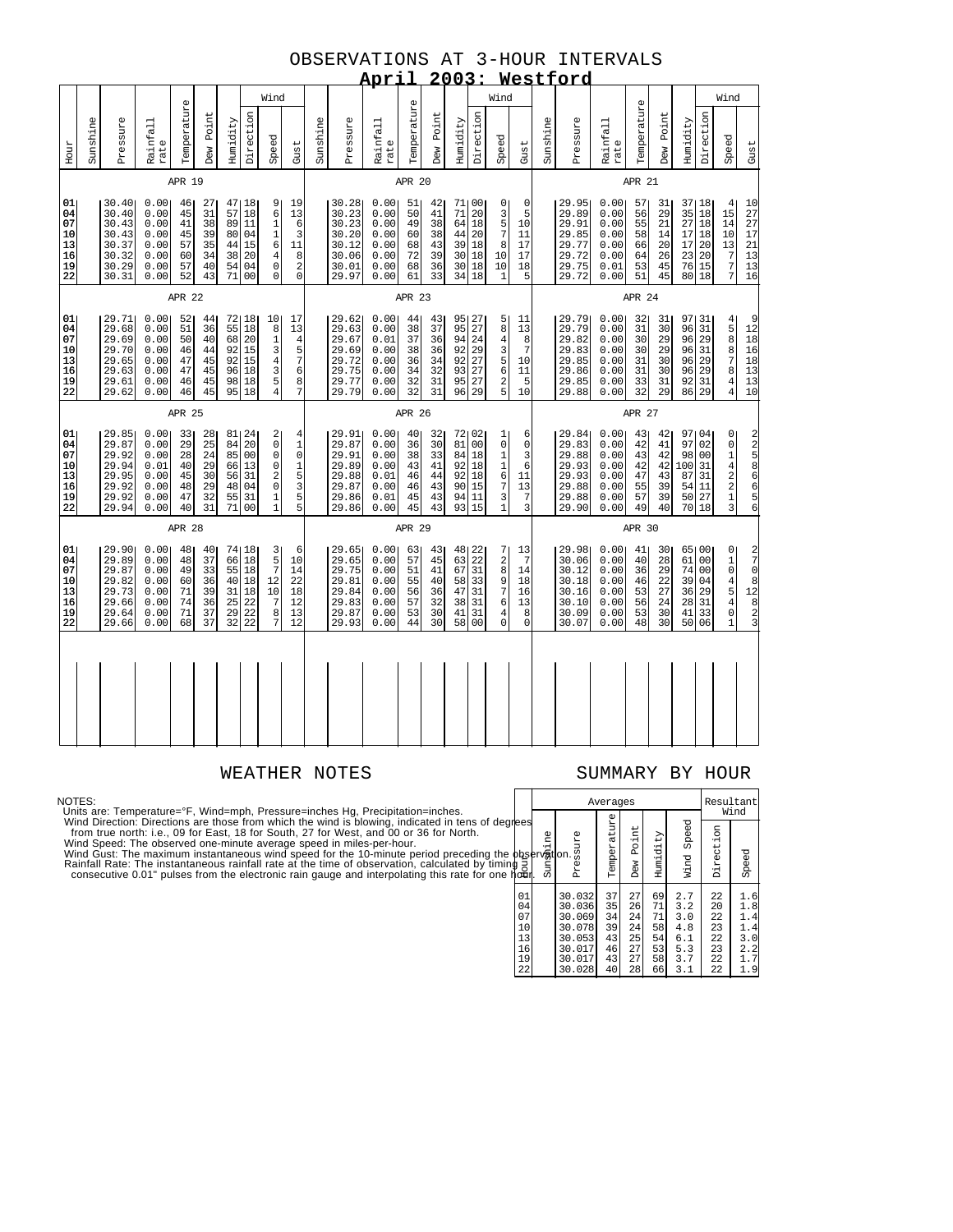### OBSERVATIONS AT 3-HOUR INTERVALS **April 2003: Westford**

|                                              |          |                                                                      |                                                              |                                              |                                              |                                        |                                                                |                                                                                                                                   |                                                                             |          |                                                                      | Apr                                                           |                                              | 4                                            | <u>uu.</u>                                            |                                        |                                                                                                     |                                                                    |          | <u>westioro</u>                                                      |                                                               |                                              |                                                           |                                                             |                                                    |                                                                                      |                                                                             |
|----------------------------------------------|----------|----------------------------------------------------------------------|--------------------------------------------------------------|----------------------------------------------|----------------------------------------------|----------------------------------------|----------------------------------------------------------------|-----------------------------------------------------------------------------------------------------------------------------------|-----------------------------------------------------------------------------|----------|----------------------------------------------------------------------|---------------------------------------------------------------|----------------------------------------------|----------------------------------------------|-------------------------------------------------------|----------------------------------------|-----------------------------------------------------------------------------------------------------|--------------------------------------------------------------------|----------|----------------------------------------------------------------------|---------------------------------------------------------------|----------------------------------------------|-----------------------------------------------------------|-------------------------------------------------------------|----------------------------------------------------|--------------------------------------------------------------------------------------|-----------------------------------------------------------------------------|
|                                              |          | Wind                                                                 |                                                              |                                              |                                              |                                        |                                                                |                                                                                                                                   |                                                                             |          |                                                                      |                                                               |                                              |                                              |                                                       |                                        | Wind                                                                                                |                                                                    |          |                                                                      |                                                               |                                              |                                                           |                                                             |                                                    | Wind                                                                                 |                                                                             |
| Hour                                         | Sunshine | Pressure                                                             | Rainfall<br>rate                                             | Temperature                                  | Dew Point                                    | Humidity                               | Direction                                                      | Speed                                                                                                                             | Gust                                                                        | Sunshine | Pressure                                                             | Rainfall<br>rate                                              | Temperature                                  | Dew Point                                    | Humidity                                              | Direction                              | Speed                                                                                               | Gust                                                               | Sunshine | Pressure                                                             | Rainfall<br>rate                                              | Temperature                                  | Dew Point                                                 | Humidity                                                    | Direction                                          | Speed                                                                                | Gust                                                                        |
|                                              |          |                                                                      |                                                              | APR 19                                       |                                              |                                        |                                                                |                                                                                                                                   |                                                                             |          |                                                                      |                                                               | APR 20                                       |                                              |                                                       |                                        |                                                                                                     |                                                                    |          |                                                                      |                                                               | APR 21                                       |                                                           |                                                             |                                                    |                                                                                      |                                                                             |
| 01<br>04<br>07<br>10<br>13<br>16<br>19<br>22 |          | 30.40<br>30.40<br>30.43<br>30.43<br>30.37<br>30.32<br>30.29<br>30.31 | 0.00<br>0.00<br>0.00<br>0.00<br>0.00<br>0.00<br>0.00<br>0.00 | 46<br>45<br>41<br>45<br>57<br>60<br>57<br>52 | 27<br>31<br>38<br>39<br>35<br>34<br>40<br>43 | 57<br>80<br>44<br>38<br>54<br>71       | 47118<br>18<br>89 11<br>04<br>15<br>20<br>04<br>0 <sub>0</sub> | $\begin{array}{c} 9 \\ 6 \end{array}$<br>$\mathbf 1$<br>$\mathbf 1$<br>$\overline{6}$<br>$\overline{4}$<br>$\circ$<br>$\mathbf 0$ | 19<br>13<br>6<br>3<br>11<br>8<br>$\overline{\mathbf{c}}$<br>$\mathbf 0$     |          | 30.28<br>30.23<br>30.23<br>30.20<br>30.12<br>30.06<br>30.01<br>29.97 | 0.001<br>0.00<br>0.00<br>0.00<br>0.00<br>0.00<br>0.00<br>0.00 | 51<br>50<br>49<br>60<br>68<br>72<br>68<br>61 | 42<br>41<br>38<br>38<br>43<br>39<br>36<br>33 | 71100<br>71<br>64 18<br>44<br>39<br>30<br>34          | 20<br>20<br>18<br>30 18<br>18<br>18    | 0<br>$\frac{3}{5}$<br>$\boldsymbol{7}$<br>8<br>10<br>10<br>$\mathbf{1}$                             | 0<br>5<br>10<br>11<br>17<br>17<br>18<br>5                          |          | 29.95<br>29.89<br>29.91<br>29.85<br>29.77<br>29.72<br>29.75<br>29.72 | 0.00<br>0.00<br>0.00<br>0.00<br>0.00<br>0.00<br>0.01<br>0.00  | 57<br>56<br>55<br>58<br>66<br>64<br>53<br>51 | 31<br>29<br>21<br>14<br>20<br>26<br>45<br>45              | 37118<br>35<br>27 18<br>17 18<br>17<br>23 20<br>76 15<br>80 | 18<br>20<br>18                                     | 4 <sub>1</sub><br>15<br>14<br>10<br>13<br>$\begin{array}{c} 7 \\ 7 \\ 7 \end{array}$ | 10<br>27<br>27<br>$\begin{array}{c} 17 \\ 21 \\ 13 \\ 13 \\ 16 \end{array}$ |
|                                              |          |                                                                      |                                                              | APR 22                                       |                                              |                                        |                                                                |                                                                                                                                   |                                                                             |          |                                                                      |                                                               | APR 23                                       |                                              |                                                       |                                        |                                                                                                     |                                                                    |          |                                                                      |                                                               | APR 24                                       |                                                           |                                                             |                                                    |                                                                                      |                                                                             |
| 01<br>04<br>07<br>10<br>13<br>16<br>19<br>22 |          | 29.71<br>29.68<br>29.69<br>29.70<br>29.65<br>29.63<br>29.61<br>29.62 | 0.00<br>0.00<br>0.00<br>0.00<br>0.00<br>0.00<br>0.00<br>0.00 | 52<br>51<br>50<br>46<br>47<br>47<br>46<br>46 | 44<br>36<br>40<br>44<br>45<br>45<br>45<br>45 | 55<br>68<br>96<br>95                   | 72 18<br>18<br>20<br>92 15<br>92 15<br>18<br>98 18<br>18       | 10<br>8<br>$\frac{1}{3}$<br>$\bf 4$<br>3<br>5<br>$\overline{4}$                                                                   | 17<br>13<br>$\begin{array}{c} 4 \\ 5 \\ 7 \end{array}$<br>6<br>8<br>7       |          | 29.62<br>29.63<br>29.67<br>29.69<br>29.72<br>29.75<br>29.77<br>29.79 | 0.00<br>0.00<br>0.01<br>0.00<br>0.00<br>0.00<br>0.00<br>0.00  | 44<br>38<br>37<br>38<br>36<br>34<br>32<br>32 | 43<br>37<br>36<br>36<br>34<br>32<br>31<br>31 | 95 27<br>95<br>94<br>92<br>92<br>93<br>95<br>96       | 27<br>24<br>29<br>27<br>27<br>27<br>29 | 5<br>8<br>$\begin{array}{c}\n4 \\ 3 \\ 5 \\ 6\n\end{array}$<br>$\overline{\mathbf{c}}$<br>5         | 11<br>13<br>8<br>7<br>10<br>11<br>5<br>10                          |          | 29.79<br>29.79<br>29.82<br>29.83<br>29.85<br>29.86<br>29.85<br>29.88 | 0.00<br>0.00<br>0.00<br>0.00<br>0.00<br>0.00<br>0.00<br>0.00  | 32<br>31<br>30<br>30<br>31<br>31<br>33<br>32 | 31<br>30<br>29<br>29<br>30<br>30<br>31<br>29              | 97 31<br>96<br>96<br>96 31<br>96<br>96 29<br>92 31<br>86    | 31<br>29<br>29<br>29                               | 458878<br>$\overline{4}$<br>$\overline{4}$                                           | $\frac{9}{12}$<br>$18$<br>16<br>18<br>13<br>13<br>10                        |
|                                              |          |                                                                      |                                                              | APR 25                                       |                                              |                                        |                                                                |                                                                                                                                   |                                                                             |          |                                                                      |                                                               | APR 26                                       |                                              |                                                       |                                        |                                                                                                     |                                                                    |          |                                                                      |                                                               | APR 27                                       |                                                           |                                                             |                                                    |                                                                                      |                                                                             |
| 01<br>04<br>07<br>10<br>13<br>16<br>19<br>22 |          | 29.85<br>29.87<br>29.92<br>29.94<br>29.95<br>29.92<br>29.92<br>29.94 | 0.00<br>0.00<br>0.00<br>0.01<br>0.00<br>0.00<br>0.00<br>0.00 | 33<br>29<br>28<br>40<br>45<br>48<br>47<br>40 | 28<br>25<br>24<br>29<br>30<br>29<br>32<br>31 | 84<br>85<br>66<br>56<br>48<br>55<br>71 | 81 24<br>20<br>00<br>13<br>31<br>04<br>31<br>0 <sub>0</sub>    | 2<br>$\mathsf{O}\xspace$<br>$\mathsf{O}\xspace$<br>$\mathbf 0$<br>$\sqrt{2}$<br>$\mathsf{O}\xspace$<br>$\frac{1}{1}$              | 4<br>$\mathbf{1}$<br>$\mathsf{O}\xspace$<br>$\mathbf 1$<br>5<br>3<br>5<br>5 |          | 29.91<br>29.87<br>29.91<br>29.89<br>29.88<br>29.87<br>29.86<br>29.86 | 0.00<br>0.00<br>0.00<br>0.00<br>0.01<br>0.00<br>0.01<br>0.00  | 40<br>36<br>38<br>43<br>46<br>46<br>45<br>45 | 32<br>30<br>33<br>41<br>44<br>43<br>43<br>43 | 72102<br>81<br>84<br>92 18<br>92<br>90<br>94 11<br>93 | 00<br>18<br>18<br>15<br>15             | 1<br>$\mathsf 0$<br>$\mathbf 1$<br>$\begin{array}{c}\n1 \\ 6 \\ 7\n\end{array}$<br>3<br>$\mathbf 1$ | 6<br>0<br>3<br>6<br>11<br>13<br>$\boldsymbol{7}$<br>$\overline{3}$ |          | 29.84<br>29.83<br>29.88<br>29.93<br>29.93<br>29.88<br>29.88<br>29.90 | 0.001<br>0.00<br>0.00<br>0.00<br>0.00<br>0.00<br>0.00<br>0.00 | 43<br>42<br>43<br>42<br>47<br>55<br>57<br>49 | 42<br>41<br>42<br>42<br>43<br>39<br>39<br>40              | 97104<br>97<br>98<br>100<br>87 31<br>54<br>50 27<br>70 18   | 02<br>00<br>31<br>11                               | 00142213                                                                             | 2258656                                                                     |
|                                              |          |                                                                      |                                                              | APR 28                                       |                                              |                                        |                                                                |                                                                                                                                   |                                                                             |          |                                                                      |                                                               | APR 29                                       |                                              |                                                       |                                        |                                                                                                     |                                                                    |          |                                                                      |                                                               | APR 30                                       |                                                           |                                                             |                                                    |                                                                                      |                                                                             |
| 01<br>04<br>07<br>10<br>13<br>16<br>19<br>22 |          | 29.90<br>29.89<br>29.87<br>29.82<br>29.73<br>29.66<br>29.64<br>29.66 | 0.00<br>0.00<br>0.00<br>0.00<br>0.00<br>0.00<br>0.00<br>0.00 | 48<br>48<br>49<br>60<br>71<br>74<br>71<br>68 | 40<br>37<br>33<br>36<br>39<br>36<br>37<br>37 | 55<br>25<br>29<br>32                   | 74 18<br>66 18<br>18<br>40 18<br>31 18<br>22<br>22<br>22       | $\frac{3}{5}$<br>12<br>10<br>$\overline{7}$<br>$\begin{array}{c} 8 \\ 7 \end{array}$                                              | 6<br>$10$<br>14<br>22<br>18<br>12<br>13<br>12                               |          | 29.65<br>29.65<br>29.75<br>29.81<br>29.84<br>29.83<br>29.87<br>29.93 | 0.00<br>0.00<br>0.00<br>0.00<br>0.00<br>0.00<br>0.00<br>0.00  | 63<br>57<br>51<br>55<br>56<br>57<br>53<br>44 | 43<br>45<br>41<br>40<br>36<br>32<br>30<br>30 | 48 22<br>63<br>67<br>58<br>47<br>38<br>41<br>58       | 22<br>31<br>33<br>31<br>31<br>31<br>00 | 7<br>$\boldsymbol{2}$<br>8<br>$\frac{9}{7}$<br>6<br>$\overline{4}$<br>0                             | 13<br>7<br>14<br>18<br>16<br>13<br>8<br>$\circ$                    |          | 29.98<br>30.06<br>30.12<br>30.18<br>30.16<br>30.10<br>30.09<br>30.07 | 0.00<br>0.00<br>0.00<br>0.00<br>0.00<br>0.00<br>0.00<br>0.00  | 41<br>40<br>36<br>46<br>53<br>56<br>53<br>48 | 30<br>28<br>29<br>22<br>27<br>24<br>30<br>30 <sup>1</sup> | 65 00<br>61<br>74<br>39<br>36<br>28<br>41<br>50             | 00<br>0 <sub>0</sub><br>04<br>29<br>31<br>33<br>06 | 0104540<br>$\mathbf{1}$                                                              | 270823                                                                      |
|                                              |          |                                                                      |                                                              |                                              |                                              |                                        |                                                                |                                                                                                                                   |                                                                             |          |                                                                      |                                                               |                                              |                                              |                                                       |                                        |                                                                                                     |                                                                    |          |                                                                      |                                                               |                                              |                                                           |                                                             |                                                    |                                                                                      |                                                                             |

### WEATHER NOTES SUMMARY BY HOUR

NOTES:<br>Units are: Temperature=°F, Wind=mph, Pressure=inches Hg, Precipitation=inches.<br>Units are: Temperature=°F, Wind=mph, Pressure=inches Hg, Precipitation=inches.<br>from true north: i.e., 09 for East, 18 for South, 27 for

|                                              |                                     |                                                                              | Resultant<br>Wind                            |                                              |                                              |                                                      |                                              |                                                                            |
|----------------------------------------------|-------------------------------------|------------------------------------------------------------------------------|----------------------------------------------|----------------------------------------------|----------------------------------------------|------------------------------------------------------|----------------------------------------------|----------------------------------------------------------------------------|
| ees                                          | phserv<br>houng<br>pumper<br>sumger | Pressure<br>on                                                               | Temperature                                  | Point<br>Dew                                 | Humidity                                     | Speed<br>Wind                                        | Direction                                    | Speed                                                                      |
| 01<br>04<br>07<br>10<br>13<br>16<br>19<br>22 |                                     | 30.032<br>30.036<br>30.069<br>30.078<br>30.053<br>30.017<br>30.017<br>30.028 | 37<br>35<br>34<br>39<br>43<br>46<br>43<br>40 | 27<br>26<br>24<br>24<br>25<br>27<br>27<br>28 | 69<br>71<br>71<br>58<br>54<br>53<br>58<br>66 | 2.7<br>3.2<br>3.0<br>4.8<br>6.1<br>5.3<br>3.7<br>3.1 | 22<br>20<br>22<br>23<br>22<br>23<br>22<br>22 | $\mathbf{1}$<br>. 6<br>1.8<br>$1.4$<br>$1.4$<br>$3.0$<br>2.2<br>1.7<br>1.9 |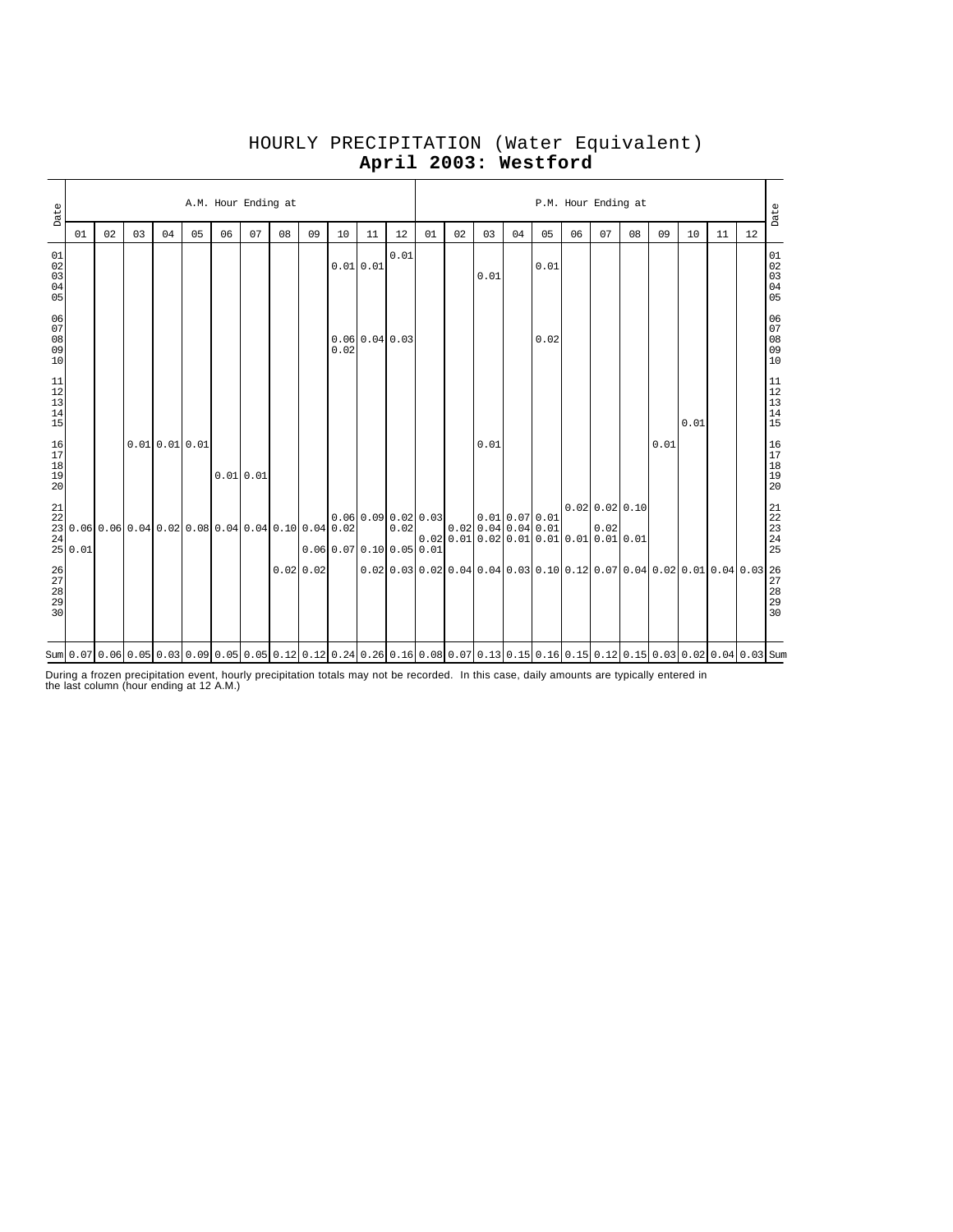|                                                           | A.M. Hour Ending at<br>Date                    |    |    |                                                                                                                                           |    |    |          |    |           |                            |                  |                               |    | P.M. Hour Ending at |                                                                             |    |      |    |                          |    |      |      |    |    |                                                           |  |
|-----------------------------------------------------------|------------------------------------------------|----|----|-------------------------------------------------------------------------------------------------------------------------------------------|----|----|----------|----|-----------|----------------------------|------------------|-------------------------------|----|---------------------|-----------------------------------------------------------------------------|----|------|----|--------------------------|----|------|------|----|----|-----------------------------------------------------------|--|
|                                                           | 01                                             | 02 | 03 | 04                                                                                                                                        | 05 | 06 | 07       | 08 | 09        | 10                         | 11               | 12                            | 01 | 02                  | 03                                                                          | 04 | 05   | 06 | 07                       | 08 | 09   | 10   | 11 | 12 | Date                                                      |  |
| 01<br>$02$<br>$03$<br>$04$<br>05                          |                                                |    |    |                                                                                                                                           |    |    |          |    |           |                            | 0.01 0.01        | 0.01                          |    |                     | 0.01                                                                        |    | 0.01 |    |                          |    |      |      |    |    | 01<br>02<br>03<br>04<br>05                                |  |
| $\begin{array}{c} 06 \\ 07 \end{array}$<br>08<br>09<br>10 |                                                |    |    |                                                                                                                                           |    |    |          |    |           | 0.02                       | $0.06$ 0.04 0.03 |                               |    |                     |                                                                             |    | 0.02 |    |                          |    |      |      |    |    | 06<br>07<br>08<br>09<br>09<br>10                          |  |
| $\begin{array}{c} 11 \\ 12 \\ 13 \\ 14 \\ 15 \end{array}$ |                                                |    |    |                                                                                                                                           |    |    |          |    |           |                            |                  |                               |    |                     |                                                                             |    |      |    |                          |    |      | 0.01 |    |    | $\begin{array}{c} 11 \\ 12 \\ 13 \\ 14 \\ 15 \end{array}$ |  |
| $\frac{16}{17}$<br>$\frac{18}{18}$<br>19<br>20            |                                                |    |    | 0.010.010.01                                                                                                                              |    |    | 0.010.01 |    |           |                            |                  |                               |    |                     | 0.01                                                                        |    |      |    |                          |    | 0.01 |      |    |    | 16<br>17<br>18<br>19<br>20                                |  |
| 21<br>22                                                  | $\begin{array}{c} 24 \\ 25 \ 0.01 \end{array}$ |    |    | 23 0.06 0.06 0.04 0.02 0.08 0.04 0.04 0.10 0.04 0.02                                                                                      |    |    |          |    |           | $0.06$ 0.07 0.10 0.05 0.01 |                  | $0.06$ 0.09 0.02 0.03<br>0.02 |    |                     | 0.010.070.01<br>$0.02$ 0.04 0.04 0.01<br>0.0200.010.0200.010.010.010.010.01 |    |      |    | $0.02$ 0.02 0.10<br>0.02 |    |      |      |    |    | $21$<br>$22$<br>$23$<br>$24$<br>$25$                      |  |
| 26<br>27<br>28<br>29<br>30                                |                                                |    |    |                                                                                                                                           |    |    |          |    | 0.0200.02 |                            |                  |                               |    |                     |                                                                             |    |      |    |                          |    |      |      |    |    |                                                           |  |
|                                                           |                                                |    |    | Sum 0.07 0.06 0.05 0.03 0.09 0.05 0.09 0.05 0.05 0.12 0.24 0.26 0.16 0.08 0.07 0.13 0.15 0.16 0.15 0.12 0.15 0.03 0.03 0.02 0.04 0.03 Sum |    |    |          |    |           |                            |                  |                               |    |                     |                                                                             |    |      |    |                          |    |      |      |    |    |                                                           |  |

# HOURLY PRECIPITATION (Water Equivalent) **April 2003: Westford**

During a frozen precipitation event, hourly precipitation totals may not be recorded. In this case, daily amounts are typically entered in the last column (hour ending at 12 A.M.)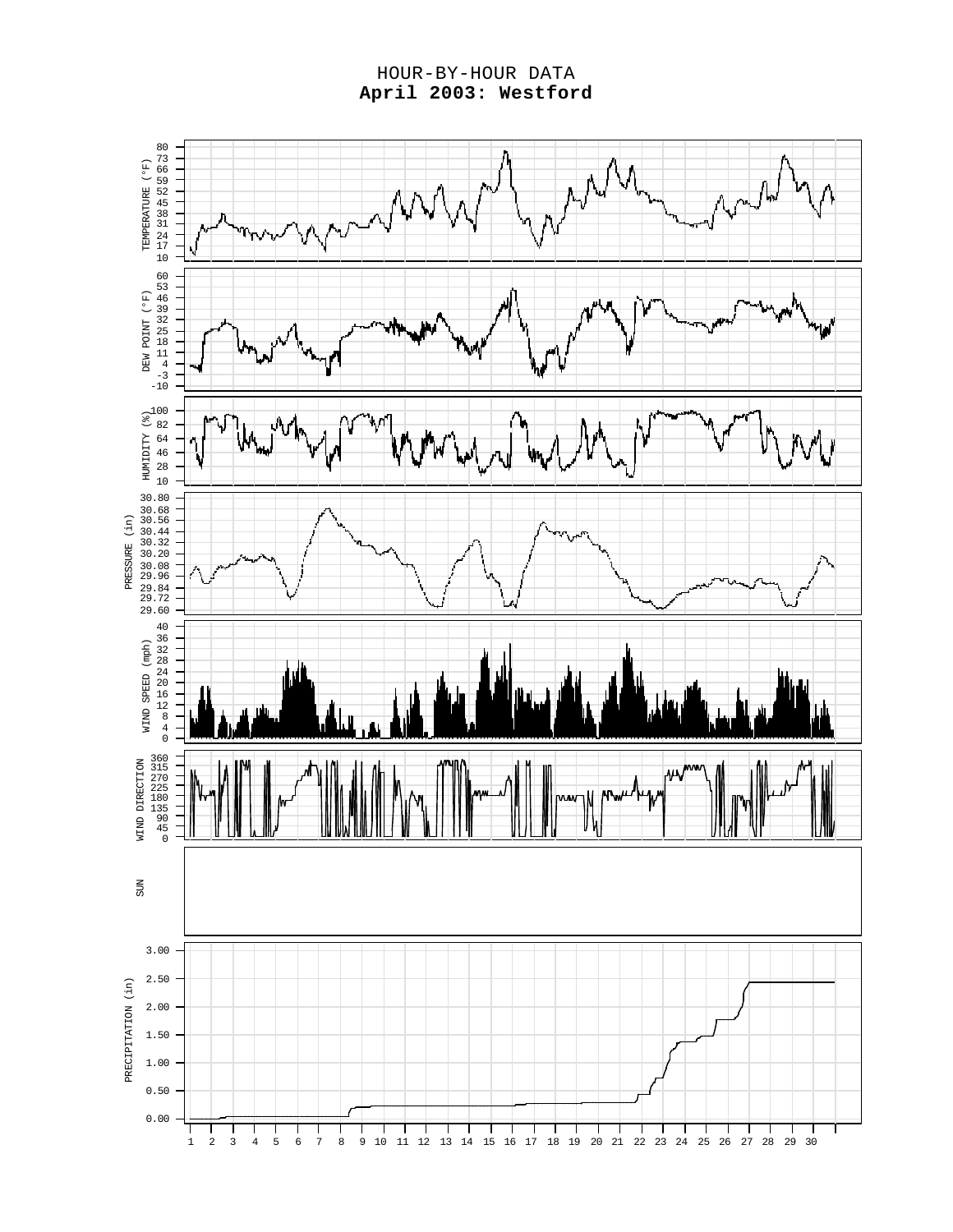## HOUR-BY-HOUR DATA **April 2003: Westford**